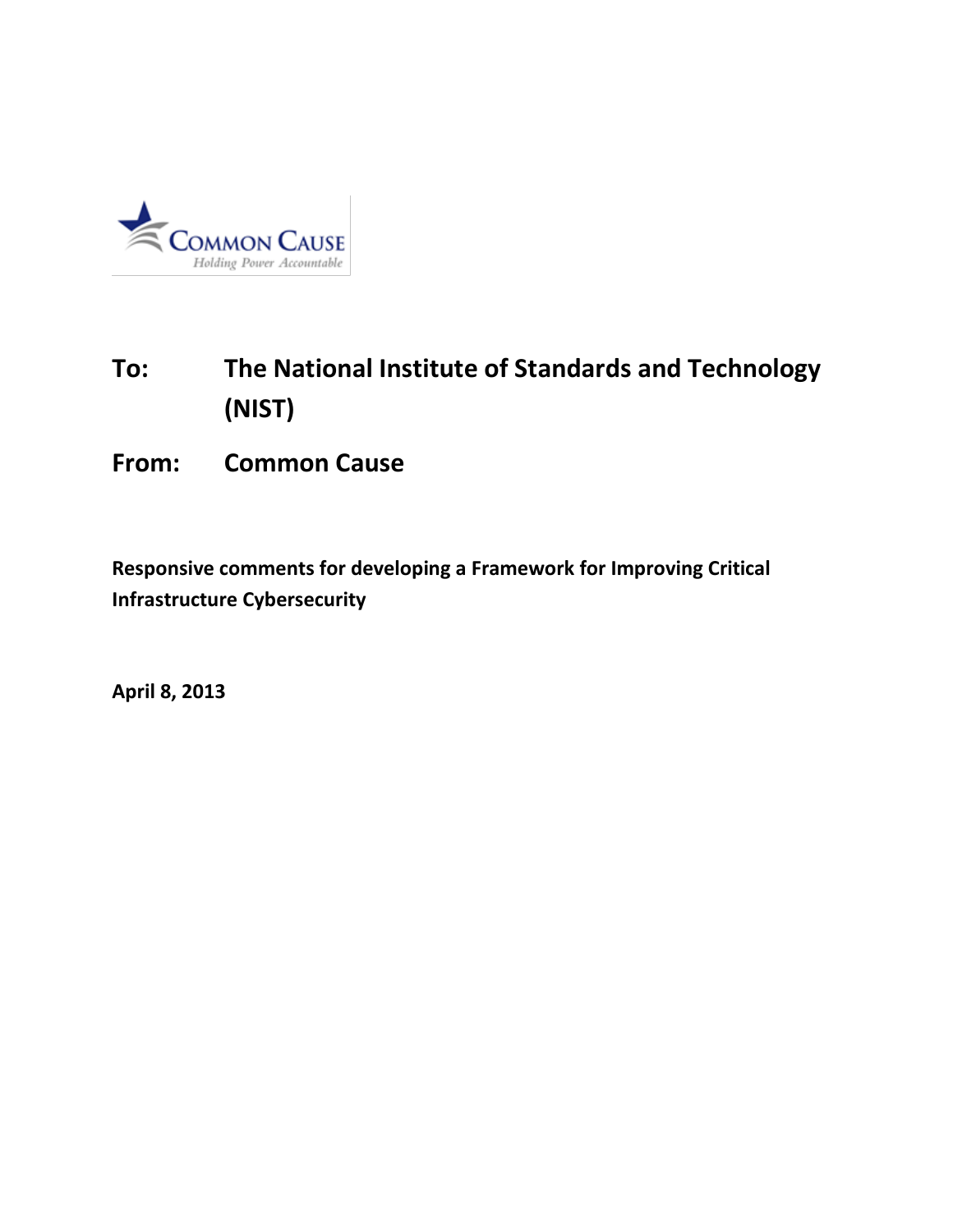

## **To: The National Institute of Standards and Technology (NIST)**

## **From: Common Cause**

**Responsive comments for developing a Framework for Improving Critical Infrastructure Cybersecurity**

**April 8, 2013**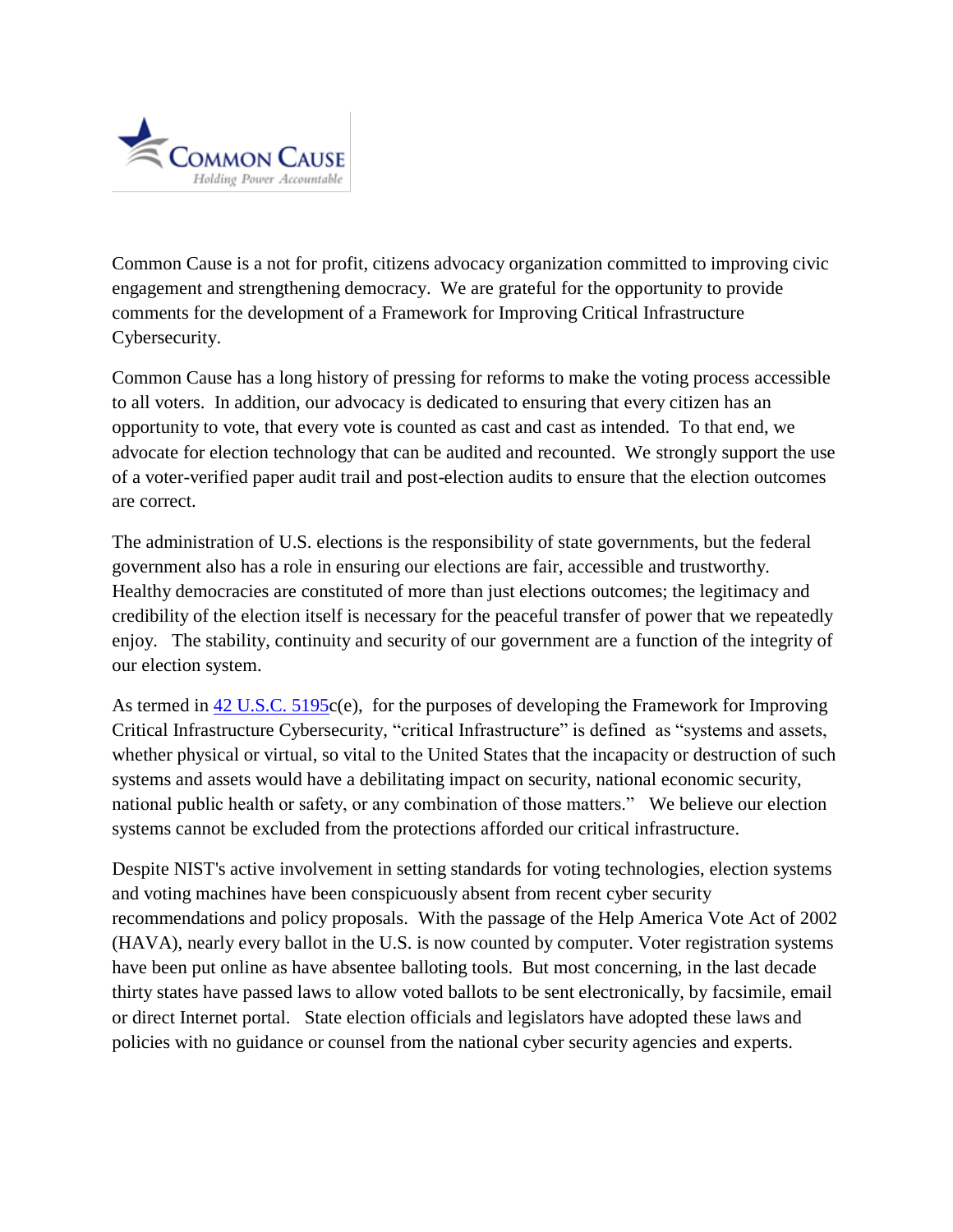

Common Cause is a not for profit, citizens advocacy organization committed to improving civic engagement and strengthening democracy. We are grateful for the opportunity to provide comments for the development of a Framework for Improving Critical Infrastructure Cybersecurity.

Common Cause has a long history of pressing for reforms to make the voting process accessible to all voters. In addition, our advocacy is dedicated to ensuring that every citizen has an opportunity to vote, that every vote is counted as cast and cast as intended. To that end, we advocate for election technology that can be audited and recounted. We strongly support the use of a voter-verified paper audit trail and post-election audits to ensure that the election outcomes are correct.

The administration of U.S. elections is the responsibility of state governments, but the federal government also has a role in ensuring our elections are fair, accessible and trustworthy. Healthy democracies are constituted of more than just elections outcomes; the legitimacy and credibility of the election itself is necessary for the peaceful transfer of power that we repeatedly enjoy. The stability, continuity and security of our government are a function of the integrity of our election system.

As termed in [42 U.S.C. 5195c](http://api.fdsys.gov/link?collection=uscode&title=42&year=mostrecent§ion=5195&type=usc&link-type=html)(e), for the purposes of developing the Framework for Improving Critical Infrastructure Cybersecurity, "critical Infrastructure" is defined as "systems and assets, whether physical or virtual, so vital to the United States that the incapacity or destruction of such systems and assets would have a debilitating impact on security, national economic security, national public health or safety, or any combination of those matters." We believe our election systems cannot be excluded from the protections afforded our critical infrastructure.

Despite NIST's active involvement in setting standards for voting technologies, election systems and voting machines have been conspicuously absent from recent cyber security recommendations and policy proposals. With the passage of the Help America Vote Act of 2002 (HAVA), nearly every ballot in the U.S. is now counted by computer. Voter registration systems have been put online as have absentee balloting tools. But most concerning, in the last decade thirty states have passed laws to allow voted ballots to be sent electronically, by facsimile, email or direct Internet portal. State election officials and legislators have adopted these laws and policies with no guidance or counsel from the national cyber security agencies and experts.